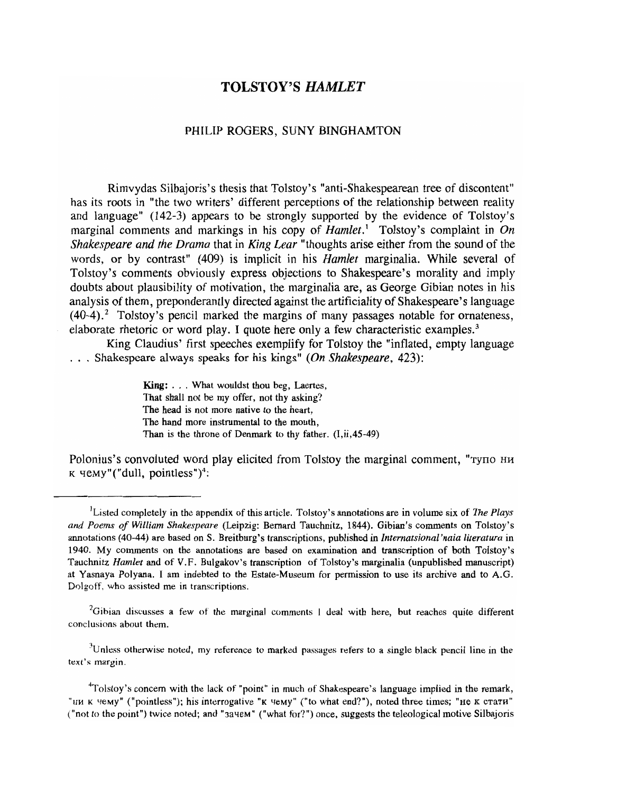# TOLSTOY'S *HAMLET*

### PHILIP ROGERS, SUNY BINGHAMTON

Rimvydas Silbajoris's thesis that Tolstoy's "anti-Shakespearean tree of discontent" has its roots in "the two writers' different perceptions of the relationship between reality and language" (142-3) appears to be strongly supported by the evidence of Tolstoy's marginal comments and markings in his copy of *Hamlet*.<sup>1</sup> Tolstoy's complaint in *On Shakespeare and the Drama* that in King *Lear* "thoughts arise either from the sound of the words, or by contrast" (409) is implicit in his *Hamlet* marginalia. While several of Tolstoy's comments obviously express objections to Shakespeare's morality and imply doubts about plausibility of motivation, the marginalia are, as George Gibian notes in his analysis of them, preponderantly directed against the artificiality of Shakespeare's language  $(40-4)$ .<sup>2</sup> Tolstoy's pencil marked the margins of many passages notable for ornateness, elaborate rhetoric or word play. I quote here only a few characteristic examples.<sup>3</sup>

King Claudius' first speeches exemplify for Tolstoy the "inflated, empty language . Shakespeare always speaks for his kings" (On *Shakespeare, 423):* 

> King: ... What wouldst thou beg, Laertes, That shall not be my offer, not thy asking? The head is not more native to the heart, The hand more instrumental to the mouth, Than is the throne of Denmark to thy father.  $(I, ii, 45-49)$

Polonius's convoluted word play elicited from Tolstoy the marginal comment, "тупо ни  $K$  yemy"("dull, pointless")<sup>4</sup>:

 ${}^{2}$ Gibian discusses a few of the marginal comments I deal with here, but reaches quite different conclusions about them.

 $3$ Unless otherwise noted, my reference to marked passages refers to a single black pencil line in the text's margin\_

<sup>4</sup>Tolstoy's concern with the lack of "point" in much of Shakespeare's language implied in the remark, "IIM K  $\mu$ eMy" ("pointless"); his interrogative "K  $\mu$ eMy" ("to what end?"), noted three times; "He K cTaTH" ("not to the point") twice noted; and "зачем" ("what for?") once, suggests the teleological motive Silbajoris

<sup>&</sup>lt;sup>1</sup> Listed completely in the appendix of this article. Tolstoy's annotations are in volume six of *The Plays and Poems of William Shakespeare* (Leipzig: Bernard Tauchnitz, 1844). Gibian's comments on Tolstoy's annotations (40-44) are based on S. Breitburg's transcriptions, published in *lnternatsional'naia literatura* in 1940. My comments on the annotations are based on examination and transcription of both Tolstoy's Tauchnitz *Hamlet* and of V.F. Bulgakov's transcription of Tolstoy's marginalia (unpublished manuscript) at Yasnaya Polyana. I am indebted to the Estate-Museum for permission to use its archive and to A.G. Dolgoff, who assisted me in transcriptions.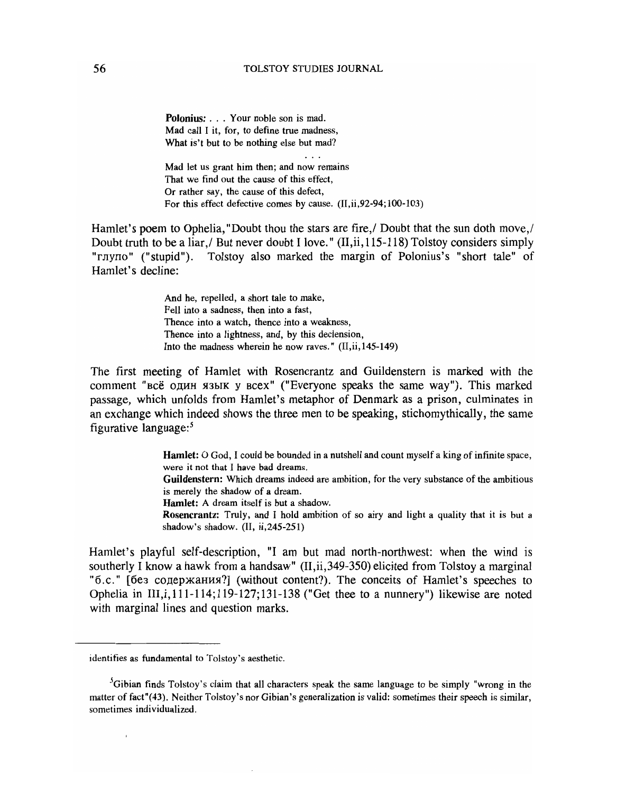#### 56 TOLSTOY STUDIES JOURNAL

Polonius: . . . Your noble son is mad. Mad call I it, for, to define true madness, What is't but to be nothing else but mad?

Mad let us grant him then; and now remains That we find out the cause of this effect, Or rather say, the cause of this defect, For this effect defective comes by cause. (II,ii,92-94;100-103)

Hamlet's poem to Ophelia, "Doubt thou the stars are fire,  $\ell$  Doubt that the sun doth move. Doubt truth to be a liar, / But never doubt I love." (II, ii, 115-118) Tolstoy considers simply "глупо" ("stupid"). Tolstoy also marked the margin of Polonius's "short tale" of Hamlet's decline:

> And he, repelled, a short tale to make, Fell into a sadness, then into a fast, Thence into a watch, thence into a weakness, Thence into a lightness, and, by this declension, Into the madness wherein he now raves."  $(II, ii, 145-149)$

The first meeting of Hamlet with Rosencrantz and Guildenstern is marked with the comment "всё один язык у всех" ("Everyone speaks the same way"). This marked passage, which unfolds from Hamlet's metaphor of Denmark as a prison, culminates in an exchange which indeed shows the three men to be speaking, stichomythically, the same figurative language: $5$ 

> Hamlet: O God, I could be bounded in a nutshell and count myself a king of infinite space, were it not that I have bad dreams.

> Guildenstern: Which dreams indeed are ambition, for the very substance of the ambitious is merely the shadow of a dream.

Hamlet: A dream itself is but a shadow.

Rosencrantz: Truly, and I hold ambition of so airy and light a quality that it is but a shadow's shadow. (II, ii,245-251)

Hamlet's playful self-description, "I am but mad north-northwest: when the wind is southerly I know a hawk from a handsaw" (II,ii,349-350) elicited from Tolstoy a marginal "б.с." [без содержания?] (without content?). The conceits of Hamlet's speeches to Ophelia in III,i,111-114;119-127;131-138 ("Get thee to a nunnery") likewise are noted with marginal lines and question marks.

identifies as fundamental to Tolstoy's aesthetic.

<sup>&</sup>lt;sup>5</sup>Gibian finds Tolstoy's claim that all characters speak the same language to be simply "wrong in the matter of fact"(43). Neither Tolstoy's nor Gibian's generalization is valid: sometimes their speech is similar, sometimes individualized.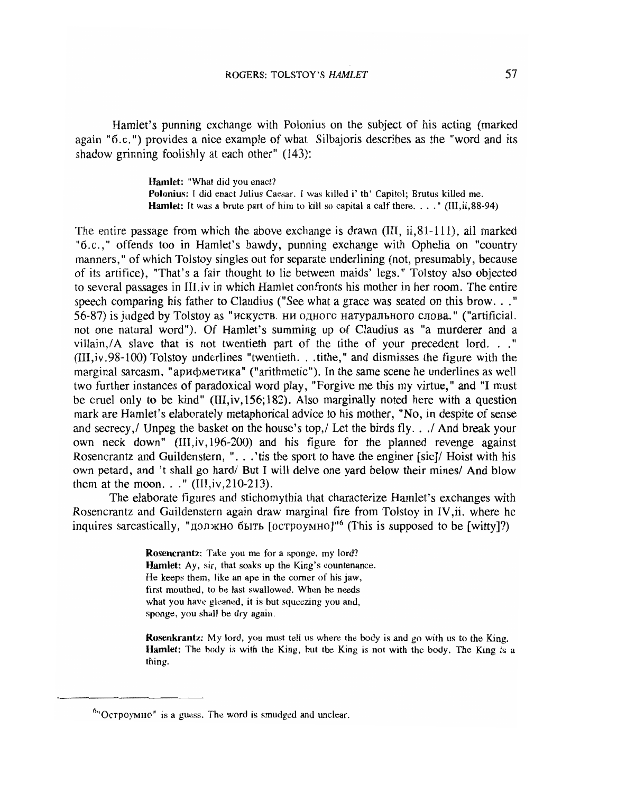Hamlet's punning exchange with Polonius on the subject of his acting (marked again "6.c. ") provides a nice example of what Silbajoris describes as the "word and its shadow grinning foolishly at each other" (143):

> Hamlet: "What did you enact? Polonius: I did enact Julius Caesar. I was killed i' th' Capitol; Brutus killed me. Hamlet: It was a brute part of him to kill so capital a calf there.... " (lII,ii,88-94)

The entire passage from which the above exchange is drawn (III,  $\ddot{\text{i}}$ ,  $\ddot{\text{ii}}$ ,  $\ddot{\text{ii}}$ ,  $\ddot{\text{iii}}$ ), all marked "6.c.," offends too in Hamlet's bawdy, punning exchange with Ophelia on "country manners, " of which Tolstoy singles out for separate underlining (not, presumably, because of its artifice), "That's a fair thought to lie between maids' legs." Tolstoy also objected to several passages in III,iv in which Hamlet confronts his mother in her room. The entire speech comparing his father to Claudius ("See what a grace was seated on this brow. . ." 56-87) is judged by Tolstoy as "искуств. ни одного натурального слова." ("artificial. not one natural word"). Of Hamlet's summing up of Claudius as "a murderer and a villain,  $/A$  slave that is not twentieth part of the tithe of your precedent lord. . ."  $(III, iv.98-100)$  Tolstoy underlines "twentieth. . .tithe," and dismisses the figure with the marginal sarcasm, "арифметика" ("arithmetic"). In the same scene he underlines as well two further instances of paradoxical word play, "Forgive me this my virtue," and "I must be cruel only to be kind" (III,iv, 156; 182). Also marginally noted here with a question mark are Hamlet's elaborately metaphorical advice to his mother, "No, in despite of sense and secrecy, Unpeg the basket on the house's top, Let the birds fly. . . And break your own neck down" (III,iv,196-2oo) and his figure for the planned revenge against Rosencrantz and Guildenstern, "...'tis the sport to have the enginer [sic]/ Hoist with his own petard, and 't shall go hard/ But I will delve one yard below their mines/ And blow them at the moon..."  $(III, iv, 210-213)$ .

The elaborate figures and stichomythia that characterize Hamlet's exchanges with Rosencrantz and Guildenstern again draw marginal fire from Tolstoy in IV,ii. where he  $\mu$  inquires sarcastically, " $\mu$ олжно быть [остроумно]"<sup>6</sup> (This is supposed to be [witty]?)

> Rosencrantz: Take you me for a sponge, my lord? Hamlet: Ay, sir, that soaks up the King's countenance. He keeps them, like an ape in the corner of his jaw, first mouthed, to be last swallowed. When he needs what you have gleaned, it is but squeezing you and, sponge, you shall be dry again.

Rosenkrantz: My lord, you must tell us where the body is and go with us to the King. Hamlet: The body is with the King, but the King is not with the body. The King is a thing.

 $6"O$  строумно" is a guess. The word is smudged and unclear.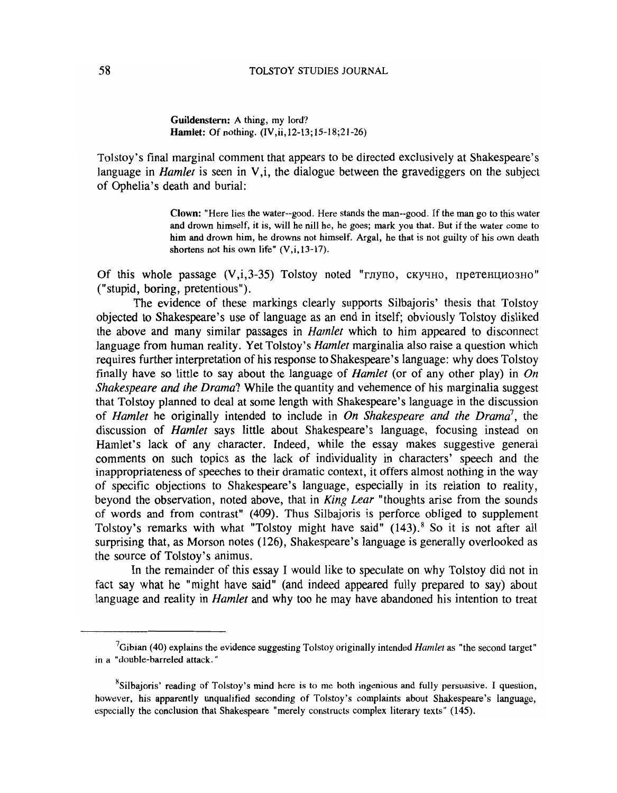## 58 TOLSTOY STUDIES JOURNAL

Guildenstern: A thing, my lord? Hamlet: Of nothing. (IV,ii,12-13;15-18;21-26)

Tolstoy's final marginal comment that appears to be directed exclusively at Shakespeare's language in *Hamlet* is seen in V,i, the dialogue between the gravediggers on the subject of Ophelia's death and burial:

> Clown: "Here lies the water--good. Here stands the man--good. If the man go to this water and drown himself, it is, will he nill he, he goes; mark you that. But if the water come to him and drown him, he drowns not himself. Argal, he that is not guilty of his own death shortens not his own life" (V,i, 13-17).

Of this whole passage  $(V, i, 3-35)$  Tolstoy noted "глупо, скучно, претенциозно" ("stupid, boring, pretentious").

The evidence of these markings clearly supports Silbajoris' thesis that Tolstoy objected to Shakespeare's use of language as an end in itself; obviously Tolstoy disliked the above and many similar passages in *Hamlet* which to him appeared to disconnect language from human reality. Yet Tolstoy's *Hamlet* marginalia also raise a question which requires further interpretation of his response to Shakespeare's language: why does Tolstoy finally have so little to say about the language of *Hamlet* (or of any other play) in *On Shakespeare and the Drama?* While the quantity and vehemence of his marginalia suggest that Tolstoy planned to deal at some length with Shakespeare's language in the discussion of *Hamlet* he originally intended to include in *On Shakespeare and the Drama*<sup>7</sup>, the discussion of *Hamlet* says little about Shakespeare's language, focusing instead on Hamlet's lack of any character. Indeed, while the essay makes suggestive general comments on such topics as the lack of individuality in characters' speech and the inappropriateness of speeches to their dramatic context, it offers almost nothing in the way of specific objections to Shakespeare's language, especially in its relation to reality, beyond the observation, noted above, that in *King Lear* "thoughts arise from the sounds of words and from contrast" (409). Thus Silbajoris is perforce obliged to supplement Tolstoy's remarks with what "Tolstoy might have said" (143).<sup>8</sup> So it is not after all surprising that, as Morson notes (126), Shakespeare's language is generally overlooked as the source of Tolstoy's animus.

In the remainder of this essay I would like to speculate on why Tolstoy did not in fact say what he "might have said" (and indeed appeared fully prepared to say) about language and reality in *Hamlet* and why too he may have abandoned his intention to treat

<sup>7</sup>Gibian (40) explains the evidence suggesting Tolstoy originally intended *Hamlet* as "the second target" in a "double-barreled attack."

 $8$ Silbajoris' reading of Tolstoy's mind here is to me both ingenious and fully persuasive. I question, however, his apparently unqualified seconding of Tolstoy's complaints about Shakespeare's language, especially the conclusion that Shakespeare "merely constructs complex literary texts" (145).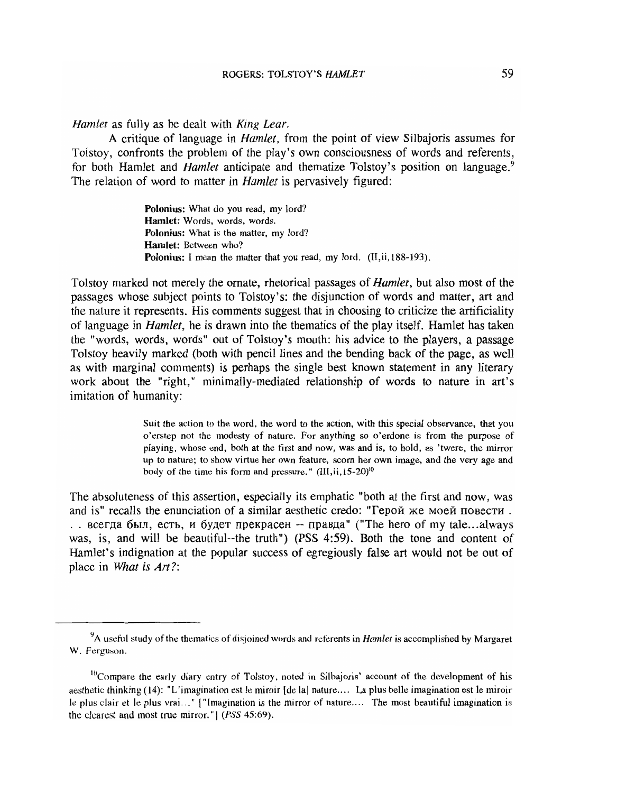*Hamlet* as fully as he dealt with *King Lear.* 

A critique of language in *Hamlet,* from the point of view Silbajoris assumes for Tolstoy, confronts the problem of the play's own consciousness of words and referents, for both Hamlet and *Hamlet* anticipate and thematize Tolstoy's position on language.<sup>9</sup> The relation of word to matter in *Hamlet* is pervasively figured:

> Polonius: What do you read, my lord? Hamlet: Words, words, words. Polonius: What is the matter, my lord? Hamlet: Between who? Polonius: I mean the matter that you read, my lord. (II, ii, 188-193).

Tolstoy marked not merely the ornate, rhetorical passages of *Hamlet,* but also most of the passages whose subject points to Tolstoy's: the disjunction of words and matter, art and the nature it represents. His comments suggest that in choosing to criticize the artificiality of language in *Hamlet,* he is drawn into the thematics of the play itself. Hamlet has taken the "words, words, words" out of Tolstoy's mouth: his advice to the players, a passage Tolstoy heavily marked (both with pencil lines and the bending back of the page, as well as with marginal comments) is perhaps the single best known statement in any literary work about the "right," minimally-mediated relationship of words to nature in art's imitation of humanity:

> Suit the action to the word, the word to the action, with this special observance, that you o'erstep not the modesty of nature. For anything so o'erdone is from the purpose of playing, whose end, both at the tirst and now, was and is, to hold, as 'twere, the mirror up to nature; to show virtue her own feature, scorn her own image, and the very age and body of the time his form and pressure."  $(III, ii, 15{\text -}20)^{10}$

The absoluteness of this assertion, especially its emphatic "both at the first and now, was and is" recalls the enunciation of a similar aesthetic credo: "Герой же моей повести. . . всегда был, есть, и будет прекрасен -- правда" ("The hero of my tale...always was, is, and will be beautiful--the truth") (PSS 4:59). Both the tone and content of Hamlet's indignation at the popular success of egregiously false art would not be out of place in *What is Art?:* 

<sup>&</sup>lt;sup>9</sup>A useful study of the thematics of disjoined words and referents in *Hamlet* is accomplished by Margaret W. Ferguson.

 $10^{\circ}$ Compare the early diary entry of Tolstoy, noted in Silbajoris' account of the development of his aesthetic thinking (14): "L'imagination est Ie miroir [de lal nature.... La plus belle imagination est Ie miroir Ie plus clair et Ie plus vrai ... " [" lmagination is the mirror of nature.... The most beautiful imagination is the clearest and most true mirror."  $(PSS 45:69)$ .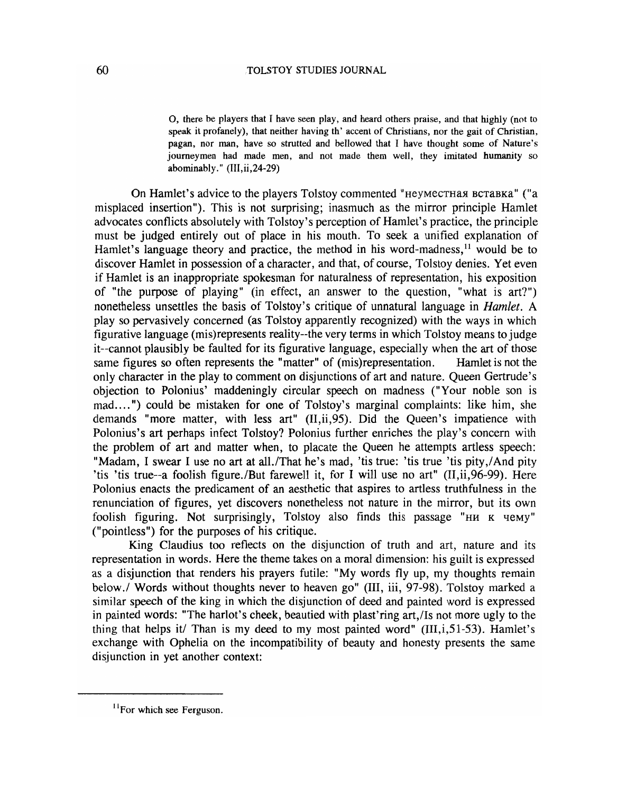0, there be players that I have seen play, and heard others praise, and that highly (not to speak it profanely), that neither having th' accent of Christians, nor the gait of Christian, pagan, nor man, have so strutted and bellowed that I have thought some of Nature's journeymen had made men, and not made them well, they imitated humanity so abominably."  $(III, ii, 24-29)$ 

On Hamlet's advice to the players Tolstoy commented "неуместная вставка" ("a misplaced insertion"). This is not surprising; inasmuch as the mirror principle Hamlet advocates conflicts absolutely with Tolstoy's perception of Hamlet's practice, the principle must be judged entirely out of place in his mouth. To seek a unified explanation of Hamlet's language theory and practice, the method in his word-madness,  $\frac{11}{11}$  would be to discover Hamlet in possession of a character, and that, of course, Tolstoy denies. Yet even if Hamlet is an inappropriate spokesman for naturalness of representation, his exposition of "the purpose of playing" (in effect, an answer to the question, "what is art?") nonetheless unsettles the basis of Tolstoy's critique of unnatural language in *Hamlet.* A play so pervasively concerned (as Tolstoy apparently recognized) with the ways in which figurative language (mis)represents reality--the very terms in which Tolstoy means to judge it--cannot plausibly be faulted for its figurative language, especially when the art of those same figures so often represents the "matter" of (mis)representation. Hamlet is not the only character in the play to comment on disjunctions of art and nature. Queen Gertrude's objection to Polonius' maddeningly circular speech on madness ("Your noble son is mad.... ") could be mistaken for one of Tolstoy's marginal complaints: like him, she demands "more matter, with less art" (II,ii,95). Did the Queen's impatience with Polonius's art perhaps infect Tolstoy? Polonius further enriches the play's concern with the problem of art and matter when, to placate the Queen he attempts artless speech: "Madam, I swear I use no art at all./That he's mad, 'tis true: 'tis true 'tis pity./And pity 'tis 'tis true--a foolish figure./But farewell it, for I will use no art"  $(II, ii, 96-99)$ . Here Polonius enacts the predicament of an aesthetic that aspires to artless truthfulness in the renunciation of figures, yet discovers nonetheless not nature in the mirror, but its own foolish figuring. Not surprisingly, Tolstoy also finds this passage "HM K HeMy" ("pointless") for the purposes of his critique.

King Claudius too reflects on the disjunction of truth and art, nature and its representation in words. Here the theme takes on a moral dimension: his guilt is expressed as a disjunction that renders his prayers futile: "My words fly up, my thoughts remain below./ Words without thoughts never to heaven go" (III, iii, 97-98). Tolstoy marked a similar speech of the king in which the disjunction of deed and painted word is expressed in painted words: "The harlot's cheek, beautied with plast'ring art,/Is not more ugly to the thing that helps *itl* Than is my deed to my most painted word" (III,i,51-53). Hamlet's exchange with Ophelia on the incompatibility of beauty and honesty presents the same disjunction in yet another context:

 $<sup>11</sup>$  For which see Ferguson.</sup>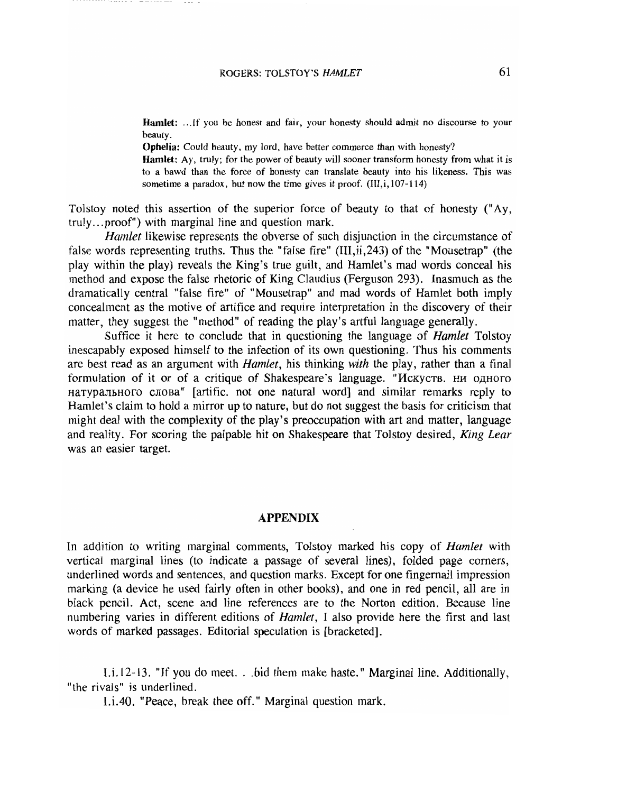Hamlet: ...If you be honest and fair, your honesty should admit no discourse to your beauty.

Ophelia: Could beauty, my lord, have better commerce than with honesty?

Hamlet: Ay, truly; for the power of beauty will sooner transform honesty from what it is to a bawd than the force of honesty can translate beauty into his likeness. This was sometime a paradox, but now the time gives it proof.  $(III, i, 107-114)$ 

Tolstoy noted this assertion of the superior force of beauty to that of honesty (" Ay, truly ... proof") with marginal line and question mark.

*Hamlet* likewise represents the obverse of such disjunction in the circumstance of false words representing truths. Thus the "false fire" (III,ii,243) of the "Mousetrap" (the play within the play) reveals the King's true guilt, and Hamlet's mad words conceal his method and expose the false rhetoric of King Claudius (Ferguson 293). Inasmuch as the dramatically central "false fire" of "Mousetrap" and mad words of Hamlet both imply concealment as the motive of artifice and require interpretation in the discovery of their matter, they suggest the "method" of reading the play's artful language generally.

Suffice it here to conclude that in questioning the language of *Hamlet* Tolstoy inescapably exposed himself to the infection of its own questioning. Thus his comments are best read as an argument with *Hamlet,* his thinking *with* the play, rather than a final formulation of it or of a critique of Shakespeare's language. "Искуств, ни одного HaTYPAJIHHOTO CJIOBA" [artific. not one natural word] and similar remarks reply to Hamlet's claim to hold a mirror up to nature, but do not suggest the basis for criticism that might deal with the complexity of the play's preoccupation with art and matter, language and reality. For scoring the palpable hit on Shakespeare that Tolstoy desired, *King Lear*  was an easier target.

#### APPENDIX

In addition to writing marginal comments, Tolstoy marked his copy of *Hamlet* with vertical marginal lines (to indicate a passage of several lines), folded page comers, underlined words and sentences, and question marks. Except for one fingernail impression marking (a device he used fairly often in other books), and one in red pencil, all are in black pencil. Act, scene and line references are to the Norton edition. Because line numbering varies in different editions of *Hamlet,* I also provide here the first and last words of marked passages. Editorial speculation is [bracketed].

I.i.12-13. "If you do meet. ..bid them make haste." Marginal line. Additionally, "the rivals" is underlined.

I.i.40. "Peace, break thee off." Marginal question mark.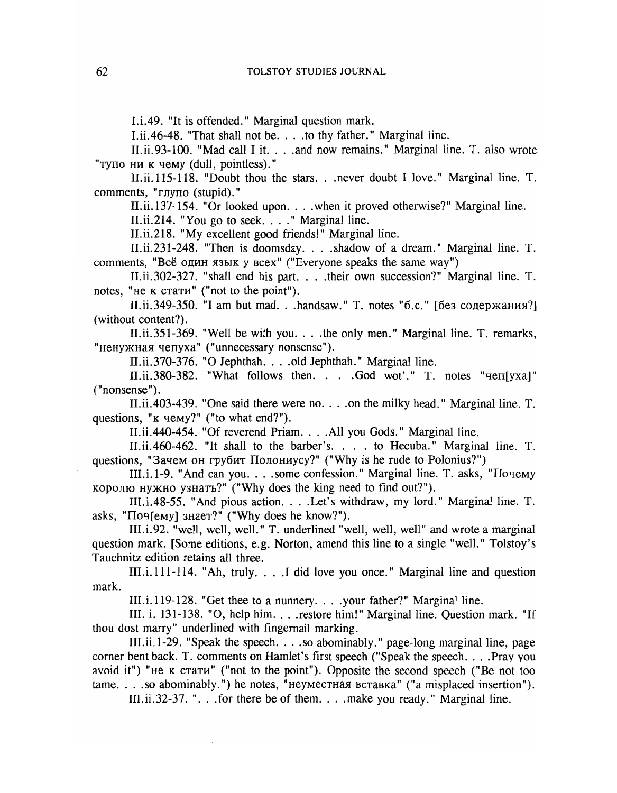I.i.49. "It is offended." Marginal question mark.

I.ii.46-48. "That shall not be... to thy father." Marginal line.

II.ii.93-100. "Mad call I it.  $\ldots$  and now remains." Marginal line. T. also wrote "тупо ни к чему (dull, pointless)."

II.ii.115-118. "Doubt thou the stars...never doubt I love." Marginal line. T. comments, "глупо (stupid)."

II.ii.137-154. "Or looked upon. . . . when it proved otherwise?" Marginal line.

II.ii.214. "You go to seek. . . ." Marginal line.

II.ii.218. "My excellent good friends!" Marginal line.

II.ii.231-248. "Then is doomsday....shadow of a dream." Marginal line. T. comments, "Всё один язык у всех" ("Everyone speaks the same way")

II. ii. 302-327. "shall end his part....their own succession?" Marginal line. T. notes, "не к стати" ("not to the point").

II.ii.349-350. "I am but mad...handsaw." Т. notes "б.с." [без содержания?] (without content?).

II.ii.351-369. "Well be with you....the only men." Marginal line. T. remarks, "ненужная чепуха" ("unnecessary nonsense").

II.ii.370-376. "0 Jephthah....old Jephthah." Marginal line.

II.ii.380-382. "What follows then. . . .God wot'." T. notes "qen[yxa]" ("nonsense").

II.ii.403-439. "One said there were no....on the milky head." Marginal line. T. questions, "K чему?" ("to what end?").

II.ii.440-454. "Of reverend Priam....All you Gods." Marginal line.

II.ii.460-462. "It shall to the barber's. . . . to Hecuba." Marginal line. T. questions, "Зачем он грубит Полониусу?" ("Why is he rude to Polonius?")

III.i.1-9. "And can you....some confession." Marginal line. T. asks, "Почему королю нужно узнать?" ("Why does the king need to find out?").

III.i.48-55. "And pious action. . . . Let's withdraw, my lord." Marginal line. T. asks, " $\text{Top}$ [emy]  $\text{SHaer}$ ?" ("Why does he know?").

III.i.92. "well, well, well." T. underlined "well, well, well" and wrote a marginal question mark. [Some editions, e.g. Norton, amend this line to a single "well." Tolstoy's Tauchnitz edition retains all three.

III. i. 111-114. "Ah, truly. . . .I did love you once." Marginal line and question mark.

III.i.119-128. "Get thee to a nunnery....your father?" Marginal line.

III. i. 131-138. "O, help him. . . . restore him!" Marginal line. Question mark. "If thou dost marry" underlined with fingernail marking.

III. ii. 1-29. "Speak the speech. . . .so abominably. " page-long marginal line, page corner bent back. T. comments on Hamlet's first speech ("Speak the speech....Pray you avoid it") "He  $\kappa$  cra $\tau$  $\mu$ " ("not to the point"). Opposite the second speech ("Be not too  $tame.$ ...so abominably.") he notes, "неуместная вставка" ("a misplaced insertion").

III.ii.32-37. " $\ldots$  for there be of them...  $\ldots$  make you ready." Marginal line.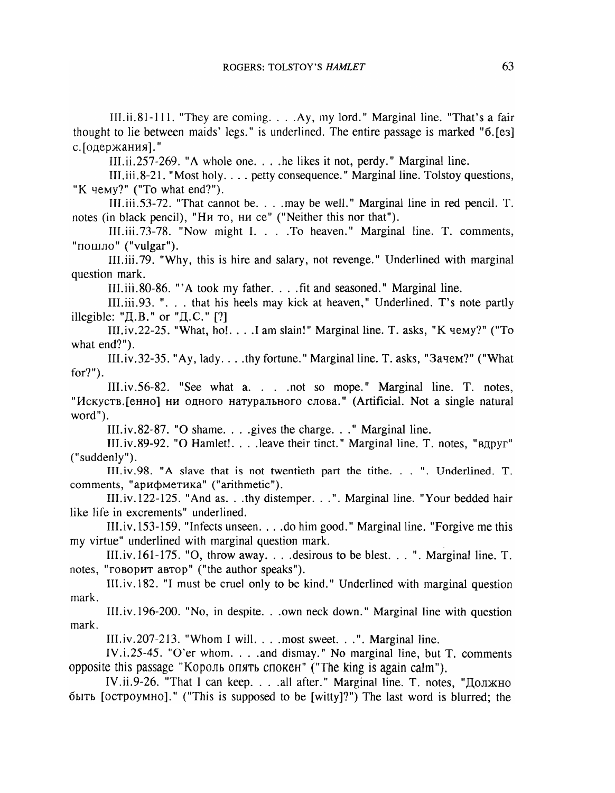III.ii,81-111. "They are coming....Ay, my lord." Marginal line. "That's a fair thought to lie between maids' legs." is underlined. The entire passage is marked "6.(e3] с. [одержания]."

lII.ii.257-269. "A whole one....he likes it not, perdy." Marginal line.

III. iii. 8-21. "Most holy.... petty consequence." Marginal line. Tolstoy questions, "K yemy?" ("To what end?").

III.iii.53-72. "That cannot be....may be welL" Marginal line in red pencil. T. notes (in black pencil), "Ни то, ни се" ("Neither this nor that").

III.iii.73-78. "Now might I. ...To heaven." Marginal line. T. comments, "пошло" ("vulgar").

III.iii.79. "Why, this is hire and salary, not revenge." Underlined with marginal question mark.

III.iii. 80-86. "'A took my father. . . . fit and seasoned." Marginal line.

IILiii.93. "... that his heels may kick at heaven," Underlined. T's note partly illegible: " $\text{I, B.}$ " or " $\text{I, C.}$ " [?]

III.iv.22-25. "What, ho!... I am slain!" Marginal line. T. asks, "K  $\mu$ emy?" ("To what end?").

III.iv.32-35. "Ay, lady....thy fortune." Marginal line. T. asks, "3aqem?" ("What for?").

III.iv.56-82. "See what a... not so mope." Marginal line. T. notes, "Искуств.[енно] ни одного натурального слова." (Artificial. Not a single natural word").

III.iv.82-87. "0 shame....gives the charge... " Marginal line.

III.iv.89-92. "O Hamlet!....leave their tinct." Marginal line. T. notes, "вдруг" ("suddenly").

III. iv. 98. "A slave that is not twentieth part the tithe. . . ". Underlined. T. comments, "арифметика" ("arithmetic").

lII.iv.122-125. "And as...thy distemper. .. ". Marginal line. "Your bedded hair like life in excrements" underlined.

III.iv.153-159. "Infects unseen....do him good." Marginal line. "Forgive me this my virtue" underlined with marginal question mark.

III.iv.161-175. "0, throwaway....desirous to be blest. .. ". Marginal line. T. notes, "говорит автор" ("the author speaks").

IIl.iv.182. "I must be cruel only to be kind." Underlined with marginal question mark.

III.iv.196-200. "No, in despite...own neck down." Marginal line with question mark.

III.iv.207-213. "Whom I will. ...most sweet. .. ". Marginal line.

IV.i.25-45. "O'er whom...and dismay." No marginal line, but T. comments opposite this passage "Король опять спокен" ("The king is again calm").

IV.ii.9-26. "That I can keep... all after." Marginal line. T. notes, "Должно"  $6$ ыть [ $0$ стр $0$ умн $0$ ]." ("This is supposed to be [witty]?") The last word is blurred; the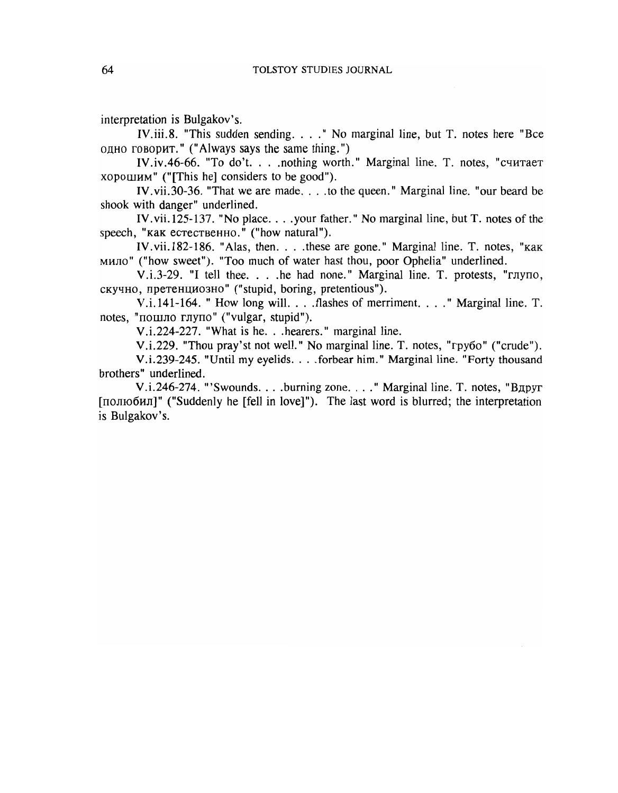interpretation is Bulgakov's.

IV.iii.8. "This sudden sending.... " No marginal line, but T. notes here "Bee одно говорит." ("Always says the same thing.")

IV.iv.46-66. "To do't. . . . nothing worth." Marginal line. T. notes, "считает XOPOllIHM" ("[This he] considers to be good").

IV.vii.30-36. "That we are made....to the queen." Marginal line. "our beard be shook with danger" underlined.

IV.vii.125-137. "No place....your father." No marginal line, but T. notes of the speech, "как естественно." ("how natural").

IV.vii.182-186. "Alas, then....these are gone." Marginal line. T. notes, "KaK MMJIO" ("how sweet"). "Too much of water hast thou, poor Ophelia" underlined.

 $V.i.3-29.$  "I tell thee....he had none." Marginal line. T. protests, "глупо, скучно, претенциозно" ("stupid, boring, pretentious").

V.i.141-164. " How long will....flashes of merriment. ... " Marginal line. T. notes, "пошло глупо" ("vulgar, stupid").

V.i.224-227. "What is he. . .hearers." marginal line.

V.i.229. "Thou pray'st not well." No marginal line. T. notes, "rpy6o" ("crude").

V.i.239-245. "Until my eyelids....forbear him." Marginal line. "Forty thousand brothers" underlined.

V.i.246-274. "'Swounds....burning zone...." Marginal line. T. notes, "BApyr" [полюбил]" ("Suddenly he [fell in love]"). The last word is blurred; the interpretation is Bulgakov's.